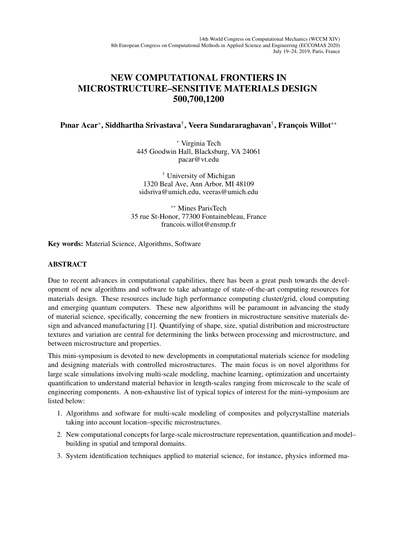## NEW COMPUTATIONAL FRONTIERS IN MICROSTRUCTURE–SENSITIVE MATERIALS DESIGN 500,700,1200

Pınar Acar\*, Siddhartha Srivastava†, Veera Sundararaghavan†, François Willot\*\*

<sup>∗</sup> Virginia Tech 445 Goodwin Hall, Blacksburg, VA 24061 pacar@vt.edu

† University of Michigan 1320 Beal Ave, Ann Arbor, MI 48109 sidsriva@umich.edu, veeras@umich.edu

∗∗ Mines ParisTech 35 rue St-Honor, 77300 Fontainebleau, France francois.willot@ensmp.fr

Key words: Material Science, Algorithms, Software

## ABSTRACT

Due to recent advances in computational capabilities, there has been a great push towards the development of new algorithms and software to take advantage of state-of-the-art computing resources for materials design. These resources include high performance computing cluster/grid, cloud computing and emerging quantum computers. These new algorithms will be paramount in advancing the study of material science, specifically, concerning the new frontiers in microstructure sensitive materials design and advanced manufacturing [1]. Quantifying of shape, size, spatial distribution and microstructure textures and variation are central for determining the links between processing and microstructure, and between microstructure and properties.

This mini-symposium is devoted to new developments in computational materials science for modeling and designing materials with controlled microstructures. The main focus is on novel algorithms for large scale simulations involving multi-scale modeling, machine learning, optimization and uncertainty quantification to understand material behavior in length-scales ranging from microscale to the scale of engineering components. A non-exhaustive list of typical topics of interest for the mini-symposium are listed below:

- 1. Algorithms and software for multi-scale modeling of composites and polycrystalline materials taking into account location–specific microstructures.
- 2. New computational concepts for large-scale microstructure representation, quantification and model– building in spatial and temporal domains.
- 3. System identification techniques applied to material science, for instance, physics informed ma-